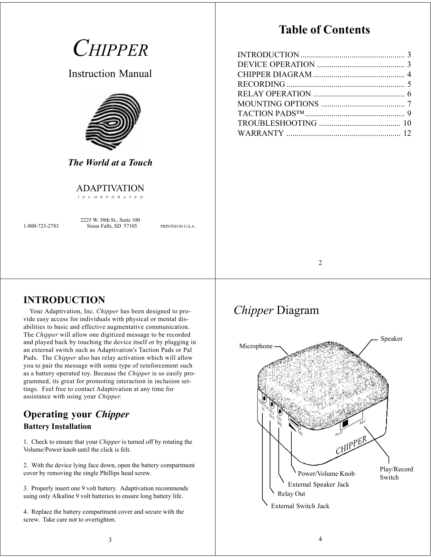*CHIPPER*

Instruction Manual



*The World at a Touch*

### ADAPTIVATION

*INCORPORATED*

2225 W. 50th St., Suite 100 1-800-723-2783 Sioux Falls, SD 57105 PRINTED IN U.S.A.

1

## **Table of Contents**

2

### **INTRODUCTION**

Your Adaptivation, Inc. *Chipper* has been designed to provide easy access for individuals with physical or mental disabilities to basic and effective augmentative communication. The *Chipper* will allow one digitized message to be recorded and played back by touching the device itself or by plugging in an external switch such as Adaptivation's Taction Pads or Pal Pads. The *Chipper* also has relay activation which will allow you to pair the message with some type of reinforcement such as a battery operated toy. Because the *Chipper* is so easily programmed, its great for promoting interaction in inclusion settings. Feel free to contact Adaptivation at any time for assistance with using your *Chipper.*

## **Operating your** *Chipper* **Battery Installation**

1. Check to ensure that your *Chipper* is turned off by rotating the Volume/Power knob until the click is felt.

2. With the device lying face down, open the battery compartment cover by removing the single Phillips head screw.

3. Properly insert one 9 volt battery. Adaptivation recommends using only Alkaline 9 volt batteries to ensure long battery life.

4. Replace the battery compartment cover and secure with the screw. Take care not to overtighten.

# *Chipper* Diagram

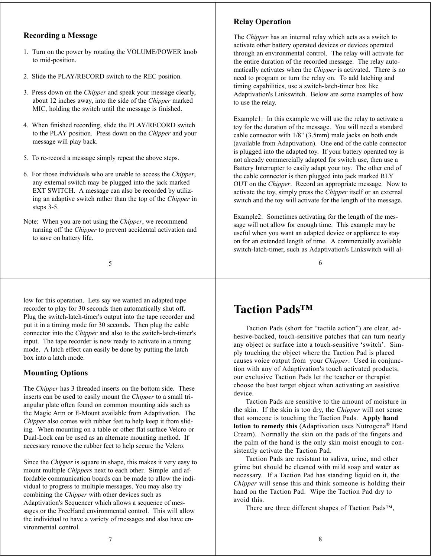### **Recording a Message**

- 1. Turn on the power by rotating the VOLUME/POWER knob to mid-position.
- 2. Slide the PLAY/RECORD switch to the REC position.
- 3. Press down on the *Chipper* and speak your message clearly, about 12 inches away, into the side of the *Chipper* marked MIC, holding the switch until the message is finished.
- 4. When finished recording, slide the PLAY/RECORD switch to the PLAY position. Press down on the *Chipper* and your message will play back.
- 5. To re-record a message simply repeat the above steps.
- 6. For those individuals who are unable to access the *Chipper*, any external switch may be plugged into the jack marked EXT SWITCH. A message can also be recorded by utilizing an adaptive switch rather than the top of the *Chipper* in steps 3-5.
- Note: When you are not using the *Chipper*, we recommend turning off the *Chipper* to prevent accidental activation and to save on battery life.

low for this operation. Lets say we wanted an adapted tape recorder to play for 30 seconds then automatically shut off. Plug the switch-latch-timer's output into the tape recorder and put it in a timing mode for 30 seconds. Then plug the cable connector into the *Chipper* and also to the switch-latch-timer's input. The tape recorder is now ready to activate in a timing mode. A latch effect can easily be done by putting the latch box into a latch mode.

### **Mounting Options**

The *Chipper* has 3 threaded inserts on the bottom side. These inserts can be used to easily mount the *Chipper* to a small triangular plate often found on common mounting aids such as the Magic Arm or E-Mount available from Adaptivation. The *Chipper* also comes with rubber feet to help keep it from sliding. When mounting on a table or other flat surface Velcro or Dual-Lock can be used as an alternate mounting method. If necessary remove the rubber feet to help secure the Velcro.

Since the *Chipper* is square in shape, this makes it very easy to mount multiple *Chippers* next to each other. Simple and affordable communication boards can be made to allow the individual to progress to multiple messages. You may also try combining the *Chipper* with other devices such as Adaptivation's Sequencer which allows a sequence of messages or the FreeHand environmental control. This will allow the individual to have a variety of messages and also have environmental control.

### **Relay Operation**

The *Chipper* has an internal relay which acts as a switch to activate other battery operated devices or devices operated through an environmental control. The relay will activate for the entire duration of the recorded message. The relay automatically activates when the *Chipper* is activated. There is no need to program or turn the relay on. To add latching and timing capabilities, use a switch-latch-timer box like Adaptivation's Linkswitch. Below are some examples of how to use the relay.

Example1: In this example we will use the relay to activate a toy for the duration of the message. You will need a standard cable connector with 1/8" (3.5mm) male jacks on both ends (available from Adaptivation). One end of the cable connector is plugged into the adapted toy. If your battery operated toy is not already commercially adapted for switch use, then use a Battery Interrupter to easily adapt your toy. The other end of the cable connector is then plugged into jack marked RLY OUT on the *Chipper*. Record an appropriate message. Now to activate the toy, simply press the *Chipper* itself or an external switch and the toy will activate for the length of the message.

Example2: Sometimes activating for the length of the message will not allow for enough time. This example may be useful when you want an adapted device or appliance to stay on for an extended length of time. A commercially available switch-latch-timer, such as Adaptivation's Linkswitch will al-

6

## **Taction Pads™**

Taction Pads (short for "tactile action") are clear, adhesive-backed, touch-sensitive patches that can turn nearly any object or surface into a touch-sensitive 'switch'. Simply touching the object where the Taction Pad is placed causes voice output from your *Chipper*. Used in conjunction with any of Adaptivation's touch activated products, our exclusive Taction Pads let the teacher or therapist choose the best target object when activating an assistive device.

Taction Pads are sensitive to the amount of moisture in the skin. If the skin is too dry, the *Chipper* will not sense that someone is touching the Taction Pads. **Apply hand lotion to remedy this** (Adaptivation uses Nutrogena® Hand Cream). Normally the skin on the pads of the fingers and the palm of the hand is the only skin moist enough to consistently activate the Taction Pad.

Taction Pads are resistant to saliva, urine, and other grime but should be cleaned with mild soap and water as necessary. If a Taction Pad has standing liquid on it, the *Chipper* will sense this and think someone is holding their hand on the Taction Pad. Wipe the Taction Pad dry to avoid this.

There are three different shapes of Taction Pads™,